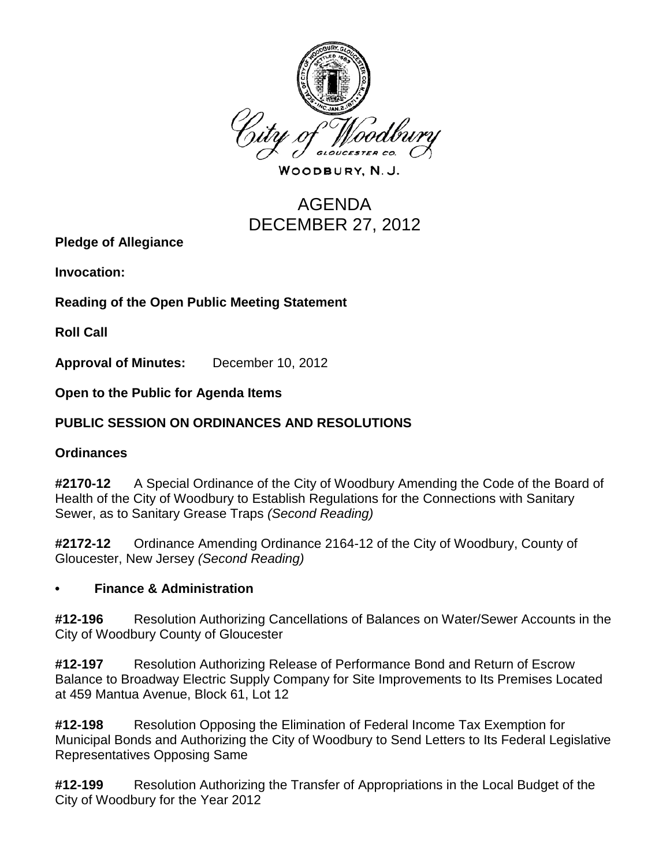

WOODBURY, N.J.

# AGENDA DECEMBER 27, 2012

**Pledge of Allegiance**

**Invocation:** 

**Reading of the Open Public Meeting Statement**

**Roll Call**

**Approval of Minutes:** December 10, 2012

**Open to the Public for Agenda Items**

## **PUBLIC SESSION ON ORDINANCES AND RESOLUTIONS**

#### **Ordinances**

**#2170-12** A Special Ordinance of the City of Woodbury Amending the Code of the Board of Health of the City of Woodbury to Establish Regulations for the Connections with Sanitary Sewer, as to Sanitary Grease Traps *(Second Reading)*

**#2172-12** Ordinance Amending Ordinance 2164-12 of the City of Woodbury, County of Gloucester, New Jersey *(Second Reading)*

#### **• Finance & Administration**

**#12-196** Resolution Authorizing Cancellations of Balances on Water/Sewer Accounts in the City of Woodbury County of Gloucester

**#12-197** Resolution Authorizing Release of Performance Bond and Return of Escrow Balance to Broadway Electric Supply Company for Site Improvements to Its Premises Located at 459 Mantua Avenue, Block 61, Lot 12

**#12-198** Resolution Opposing the Elimination of Federal Income Tax Exemption for Municipal Bonds and Authorizing the City of Woodbury to Send Letters to Its Federal Legislative Representatives Opposing Same

**#12-199** Resolution Authorizing the Transfer of Appropriations in the Local Budget of the City of Woodbury for the Year 2012